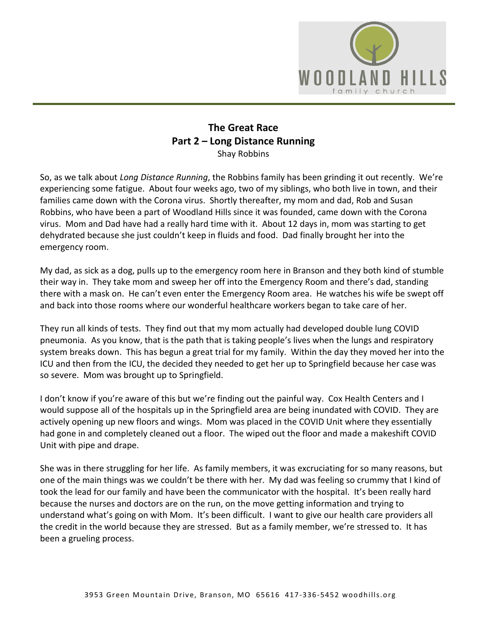

## **The Great Race Part 2 – Long Distance Running** Shay Robbins

So, as we talk about *Long Distance Running*, the Robbins family has been grinding it out recently. We're experiencing some fatigue. About four weeks ago, two of my siblings, who both live in town, and their families came down with the Corona virus. Shortly thereafter, my mom and dad, Rob and Susan Robbins, who have been a part of Woodland Hills since it was founded, came down with the Corona virus. Mom and Dad have had a really hard time with it. About 12 days in, mom was starting to get dehydrated because she just couldn't keep in fluids and food. Dad finally brought her into the emergency room.

My dad, as sick as a dog, pulls up to the emergency room here in Branson and they both kind of stumble their way in. They take mom and sweep her off into the Emergency Room and there's dad, standing there with a mask on. He can't even enter the Emergency Room area. He watches his wife be swept off and back into those rooms where our wonderful healthcare workers began to take care of her.

They run all kinds of tests. They find out that my mom actually had developed double lung COVID pneumonia. As you know, that is the path that is taking people's lives when the lungs and respiratory system breaks down. This has begun a great trial for my family. Within the day they moved her into the ICU and then from the ICU, the decided they needed to get her up to Springfield because her case was so severe. Mom was brought up to Springfield.

I don't know if you're aware of this but we're finding out the painful way. Cox Health Centers and I would suppose all of the hospitals up in the Springfield area are being inundated with COVID. They are actively opening up new floors and wings. Mom was placed in the COVID Unit where they essentially had gone in and completely cleaned out a floor. The wiped out the floor and made a makeshift COVID Unit with pipe and drape.

She was in there struggling for her life. As family members, it was excruciating for so many reasons, but one of the main things was we couldn't be there with her. My dad was feeling so crummy that I kind of took the lead for our family and have been the communicator with the hospital. It's been really hard because the nurses and doctors are on the run, on the move getting information and trying to understand what's going on with Mom. It's been difficult. I want to give our health care providers all the credit in the world because they are stressed. But as a family member, we're stressed to. It has been a grueling process.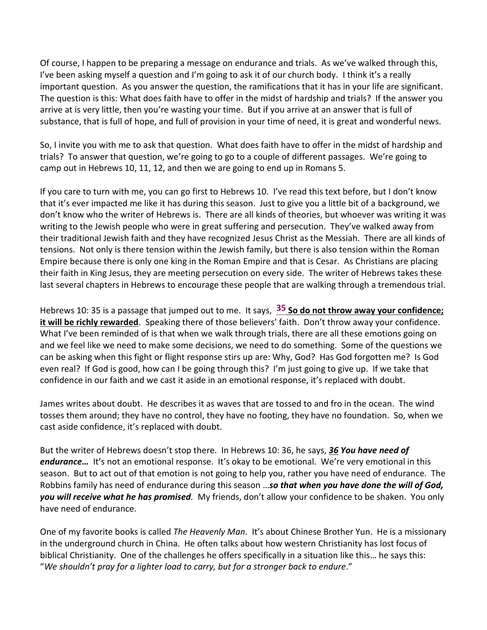Of course, I happen to be preparing a message on endurance and trials. As we've walked through this, I've been asking myself a question and I'm going to ask it of our church body. I think it's a really important question. As you answer the question, the ramifications that it has in your life are significant. The question is this: What does faith have to offer in the midst of hardship and trials? If the answer you arrive at is very little, then you're wasting your time. But if you arrive at an answer that is full of substance, that is full of hope, and full of provision in your time of need, it is great and wonderful news.

So, I invite you with me to ask that question. What does faith have to offer in the midst of hardship and trials? To answer that question, we're going to go to a couple of different passages. We're going to camp out in Hebrews 10, 11, 12, and then we are going to end up in Romans 5.

If you care to turn with me, you can go first to Hebrews 10. I've read this text before, but I don't know that it's ever impacted me like it has during this season. Just to give you a little bit of a background, we don't know who the writer of Hebrews is. There are all kinds of theories, but whoever was writing it was writing to the Jewish people who were in great suffering and persecution. They've walked away from their traditional Jewish faith and they have recognized Jesus Christ as the Messiah. There are all kinds of tensions. Not only is there tension within the Jewish family, but there is also tension within the Roman Empire because there is only one king in the Roman Empire and that is Cesar. As Christians are placing their faith in King Jesus, they are meeting persecution on every side. The writer of Hebrews takes these last several chapters in Hebrews to encourage these people that are walking through a tremendous trial.

Hebrews 10: 35 is a passage that jumped out to me. It says, **[35](https://www.studylight.org/desk/?q=heb%2010:35&t1=en_niv&sr=1) So do not throw away your confidence; it will be richly rewarded**. Speaking there of those believers' faith. Don't throw away your confidence. What I've been reminded of is that when we walk through trials, there are all these emotions going on and we feel like we need to make some decisions, we need to do something. Some of the questions we can be asking when this fight or flight response stirs up are: Why, God? Has God forgotten me? Is God even real? If God is good, how can I be going through this? I'm just going to give up. If we take that confidence in our faith and we cast it aside in an emotional response, it's replaced with doubt.

James writes about doubt. He describes it as waves that are tossed to and fro in the ocean. The wind tosses them around; they have no control, they have no footing, they have no foundation. So, when we cast aside confidence, it's replaced with doubt.

But the writer of Hebrews doesn't stop there. In Hebrews 10: 36, he says, *[36](https://www.studylight.org/desk/?q=heb%2010:36&t1=en_niv&sr=1) You have need of endurance…* It's not an emotional response. It's okay to be emotional. We're very emotional in this season. But to act out of that emotion is not going to help you, rather you have need of endurance. The Robbins family has need of endurance during this season …*so that when you have done the will of God, you will receive what he has promised.* My friends, don't allow your confidence to be shaken. You only have need of endurance.

One of my favorite books is called *The Heavenly Man*. It's about Chinese Brother Yun. He is a missionary in the underground church in China. He often talks about how western Christianity has lost focus of biblical Christianity. One of the challenges he offers specifically in a situation like this… he says this: "*We shouldn't pray for a lighter load to carry, but for a stronger back to endure*."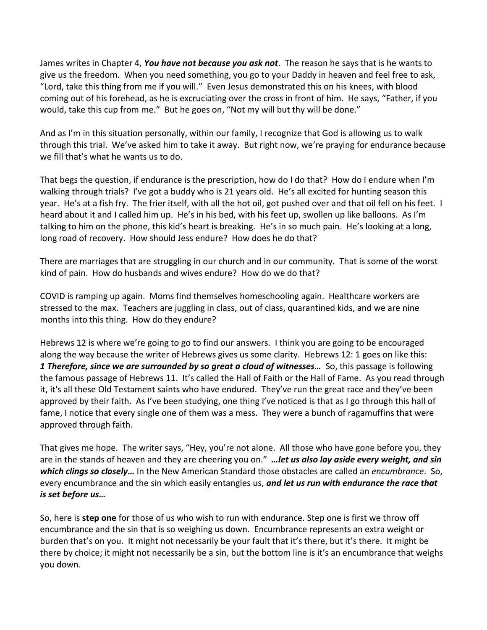James writes in Chapter 4, *You have not because you ask not*. The reason he says that is he wants to give us the freedom. When you need something, you go to your Daddy in heaven and feel free to ask, "Lord, take this thing from me if you will." Even Jesus demonstrated this on his knees, with blood coming out of his forehead, as he is excruciating over the cross in front of him. He says, "Father, if you would, take this cup from me." But he goes on, "Not my will but thy will be done."

And as I'm in this situation personally, within our family, I recognize that God is allowing us to walk through this trial. We've asked him to take it away. But right now, we're praying for endurance because we fill that's what he wants us to do.

That begs the question, if endurance is the prescription, how do I do that? How do I endure when I'm walking through trials? I've got a buddy who is 21 years old. He's all excited for hunting season this year. He's at a fish fry. The frier itself, with all the hot oil, got pushed over and that oil fell on his feet. I heard about it and I called him up. He's in his bed, with his feet up, swollen up like balloons. As I'm talking to him on the phone, this kid's heart is breaking. He's in so much pain. He's looking at a long, long road of recovery. How should Jess endure? How does he do that?

There are marriages that are struggling in our church and in our community. That is some of the worst kind of pain. How do husbands and wives endure? How do we do that?

COVID is ramping up again. Moms find themselves homeschooling again. Healthcare workers are stressed to the max. Teachers are juggling in class, out of class, quarantined kids, and we are nine months into this thing. How do they endure?

Hebrews 12 is where we're going to go to find our answers. I think you are going to be encouraged along the way because the writer of Hebrews gives us some clarity. Hebrews 12: 1 goes on like this: *[1](https://www.studylight.org/desk/?q=heb%2012:1&t1=en_esv&sr=1) Therefore, since we are surrounded by so great a cloud of witnesses…* So, this passage is following the famous passage of Hebrews 11. It's called the Hall of Faith or the Hall of Fame. As you read through it, it's all these Old Testament saints who have endured. They've run the great race and they've been approved by their faith. As I've been studying, one thing I've noticed is that as I go through this hall of fame, I notice that every single one of them was a mess. They were a bunch of ragamuffins that were approved through faith.

That gives me hope. The writer says, "Hey, you're not alone. All those who have gone before you, they are in the stands of heaven and they are cheering you on." *…let us also lay aside every weight, and sin which clings so closely…* In the New American Standard those obstacles are called an *encumbrance*. So, every encumbrance and the sin which easily entangles us, *and let us run with endurance the race that is set before us…*

So, here is **step one** for those of us who wish to run with endurance. Step one is first we throw off encumbrance and the sin that is so weighing us down. Encumbrance represents an extra weight or burden that's on you. It might not necessarily be your fault that it's there, but it's there. It might be there by choice; it might not necessarily be a sin, but the bottom line is it's an encumbrance that weighs you down.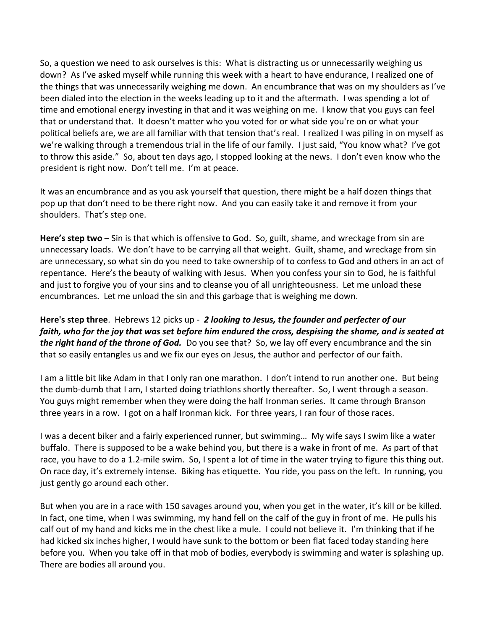So, a question we need to ask ourselves is this: What is distracting us or unnecessarily weighing us down? As I've asked myself while running this week with a heart to have endurance, I realized one of the things that was unnecessarily weighing me down. An encumbrance that was on my shoulders as I've been dialed into the election in the weeks leading up to it and the aftermath. I was spending a lot of time and emotional energy investing in that and it was weighing on me. I know that you guys can feel that or understand that. It doesn't matter who you voted for or what side you're on or what your political beliefs are, we are all familiar with that tension that's real. I realized I was piling in on myself as we're walking through a tremendous trial in the life of our family. I just said, "You know what? I've got to throw this aside." So, about ten days ago, I stopped looking at the news. I don't even know who the president is right now. Don't tell me. I'm at peace.

It was an encumbrance and as you ask yourself that question, there might be a half dozen things that pop up that don't need to be there right now. And you can easily take it and remove it from your shoulders. That's step one.

**Here's step two** – Sin is that which is offensive to God. So, guilt, shame, and wreckage from sin are unnecessary loads. We don't have to be carrying all that weight. Guilt, shame, and wreckage from sin are unnecessary, so what sin do you need to take ownership of to confess to God and others in an act of repentance. Here's the beauty of walking with Jesus. When you confess your sin to God, he is faithful and just to forgive you of your sins and to cleanse you of all unrighteousness. Let me unload these encumbrances. Let me unload the sin and this garbage that is weighing me down.

**Here's step three**. Hebrews 12 picks up - *[2](https://www.studylight.org/desk/?q=heb%2012:2&t1=en_esv&sr=1) looking to Jesus, the founder and perfecter of our faith, who for the joy that was set before him endured the cross, despising the shame, and is seated at the right hand of the throne of God.* Do you see that? So, we lay off every encumbrance and the sin that so easily entangles us and we fix our eyes on Jesus, the author and perfector of our faith.

I am a little bit like Adam in that I only ran one marathon. I don't intend to run another one. But being the dumb-dumb that I am, I started doing triathlons shortly thereafter. So, I went through a season. You guys might remember when they were doing the half Ironman series. It came through Branson three years in a row. I got on a half Ironman kick. For three years, I ran four of those races.

I was a decent biker and a fairly experienced runner, but swimming… My wife says I swim like a water buffalo. There is supposed to be a wake behind you, but there is a wake in front of me. As part of that race, you have to do a 1.2-mile swim. So, I spent a lot of time in the water trying to figure this thing out. On race day, it's extremely intense. Biking has etiquette. You ride, you pass on the left. In running, you just gently go around each other.

But when you are in a race with 150 savages around you, when you get in the water, it's kill or be killed. In fact, one time, when I was swimming, my hand fell on the calf of the guy in front of me. He pulls his calf out of my hand and kicks me in the chest like a mule. I could not believe it. I'm thinking that if he had kicked six inches higher, I would have sunk to the bottom or been flat faced today standing here before you. When you take off in that mob of bodies, everybody is swimming and water is splashing up. There are bodies all around you.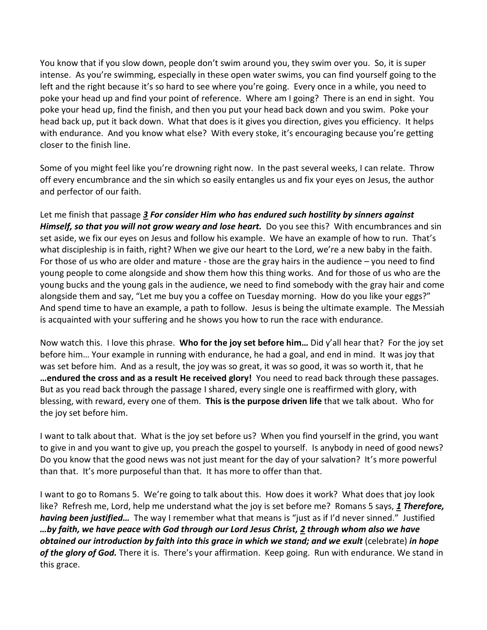You know that if you slow down, people don't swim around you, they swim over you. So, it is super intense. As you're swimming, especially in these open water swims, you can find yourself going to the left and the right because it's so hard to see where you're going. Every once in a while, you need to poke your head up and find your point of reference. Where am I going? There is an end in sight. You poke your head up, find the finish, and then you put your head back down and you swim. Poke your head back up, put it back down. What that does is it gives you direction, gives you efficiency. It helps with endurance. And you know what else? With every stoke, it's encouraging because you're getting closer to the finish line.

Some of you might feel like you're drowning right now. In the past several weeks, I can relate. Throw off every encumbrance and the sin which so easily entangles us and fix your eyes on Jesus, the author and perfector of our faith.

Let me finish that passage *[3](https://www.studylight.org/desk/?q=heb%2012:3&t1=en_nas&sr=1) For consider Him who has endured such hostility by sinners against Himself, so that you will not grow weary and lose heart.* Do you see this? With encumbrances and sin set aside, we fix our eyes on Jesus and follow his example. We have an example of how to run. That's what discipleship is in faith, right? When we give our heart to the Lord, we're a new baby in the faith. For those of us who are older and mature - those are the gray hairs in the audience – you need to find young people to come alongside and show them how this thing works. And for those of us who are the young bucks and the young gals in the audience, we need to find somebody with the gray hair and come alongside them and say, "Let me buy you a coffee on Tuesday morning. How do you like your eggs?" And spend time to have an example, a path to follow. Jesus is being the ultimate example. The Messiah is acquainted with your suffering and he shows you how to run the race with endurance.

Now watch this. I love this phrase. **Who for the joy set before him…** Did y'all hear that? For the joy set before him… Your example in running with endurance, he had a goal, and end in mind. It was joy that was set before him. And as a result, the joy was so great, it was so good, it was so worth it, that he **…endured the cross and as a result He received glory!** You need to read back through these passages. But as you read back through the passage I shared, every single one is reaffirmed with glory, with blessing, with reward, every one of them. **This is the purpose driven life** that we talk about. Who for the joy set before him.

I want to talk about that. What is the joy set before us? When you find yourself in the grind, you want to give in and you want to give up, you preach the gospel to yourself. Is anybody in need of good news? Do you know that the good news was not just meant for the day of your salvation? It's more powerful than that. It's more purposeful than that. It has more to offer than that.

I want to go to Romans 5. We're going to talk about this. How does it work? What does that joy look like? Refresh me, Lord, help me understand what the joy is set before me? Romans 5 says, *[1](https://www.studylight.org/desk/?q=ro%205:1&t1=en_nas&sr=1) Therefore, having been justified…* The way I remember what that means is "just as if I'd never sinned." Justified *…by faith, we have peace with God through our Lord Jesus Christ, [2](https://www.studylight.org/desk/?q=ro%205:2&t1=en_nas&sr=1) through whom also we have obtained our introduction by faith into this grace in which we stand; and we exult* (celebrate) *in hope*  of the glory of God. There it is. There's your affirmation. Keep going. Run with endurance. We stand in this grace.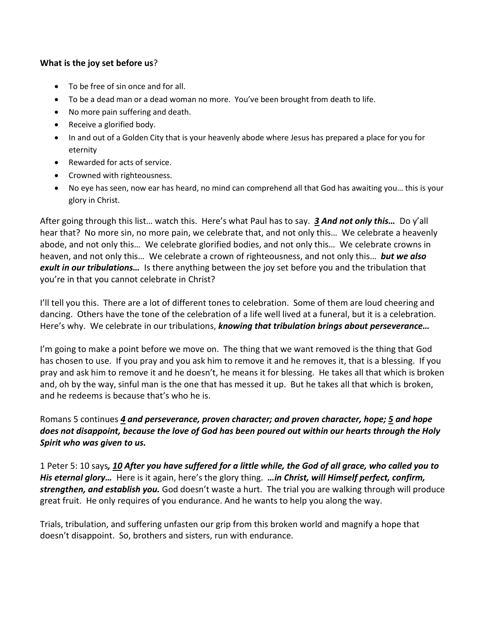## **What is the joy set before us**?

- To be free of sin once and for all.
- To be a dead man or a dead woman no more. You've been brought from death to life.
- No more pain suffering and death.
- Receive a glorified body.
- In and out of a Golden City that is your heavenly abode where Jesus has prepared a place for you for eternity
- Rewarded for acts of service.
- Crowned with righteousness.
- No eye has seen, now ear has heard, no mind can comprehend all that God has awaiting you… this is your glory in Christ.

After going through this list… watch this. Here's what Paul has to say. *[3](https://www.studylight.org/desk/?q=ro%205:3&t1=en_nas&sr=1) And not only this…* Do y'all hear that? No more sin, no more pain, we celebrate that, and not only this… We celebrate a heavenly abode, and not only this… We celebrate glorified bodies, and not only this… We celebrate crowns in heaven, and not only this… We celebrate a crown of righteousness, and not only this… *but we also exult in our tribulations…* Is there anything between the joy set before you and the tribulation that you're in that you cannot celebrate in Christ?

I'll tell you this. There are a lot of different tones to celebration. Some of them are loud cheering and dancing. Others have the tone of the celebration of a life well lived at a funeral, but it is a celebration. Here's why. We celebrate in our tribulations, *knowing that tribulation brings about perseverance…*

I'm going to make a point before we move on. The thing that we want removed is the thing that God has chosen to use. If you pray and you ask him to remove it and he removes it, that is a blessing. If you pray and ask him to remove it and he doesn't, he means it for blessing. He takes all that which is broken and, oh by the way, sinful man is the one that has messed it up. But he takes all that which is broken, and he redeems is because that's who he is.

## Romans 5 continues *[4](https://www.studylight.org/desk/?q=ro%205:4&t1=en_nas&sr=1) and perseverance, proven character; and proven character, hope; [5](https://www.studylight.org/desk/?q=ro%205:5&t1=en_nas&sr=1) and hope does not disappoint, because the love of God has been poured out within our hearts through the Holy Spirit who was given to us.*

1 Peter 5: 10 says*, [10](https://www.studylight.org/desk/?q=1pe%205:10&t1=en_nas&sr=1) After you have suffered for a little while, the God of all grace, who called you to His eternal glory…* Here is it again, here's the glory thing. *…in Christ, will Himself perfect, confirm, strengthen, and establish you.* God doesn't waste a hurt. The trial you are walking through will produce great fruit. He only requires of you endurance. And he wants to help you along the way.

Trials, tribulation, and suffering unfasten our grip from this broken world and magnify a hope that doesn't disappoint. So, brothers and sisters, run with endurance.